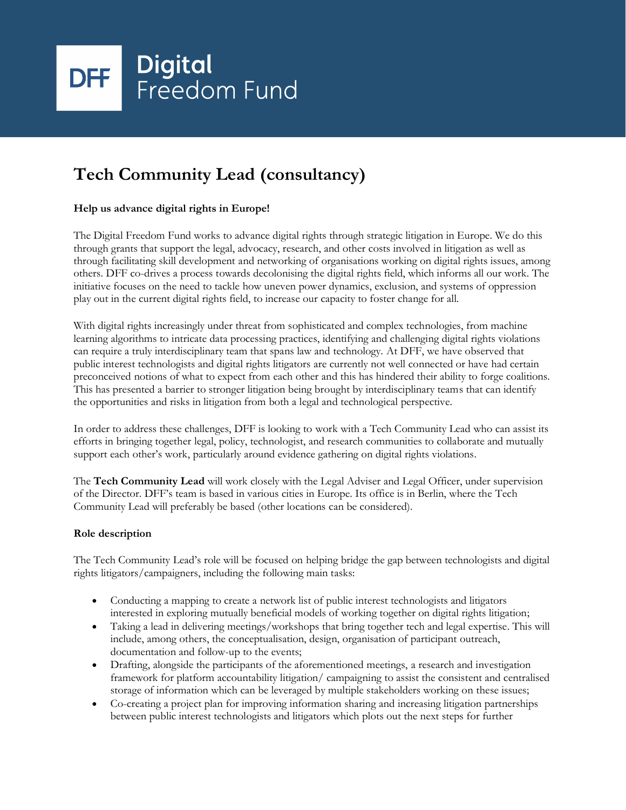

# **Tech Community Lead (consultancy)**

# **Help us advance digital rights in Europe!**

The Digital Freedom Fund works to advance digital rights through strategic litigation in Europe. We do this through grants that support the legal, advocacy, research, and other costs involved in litigation as well as through facilitating skill development and networking of organisations working on digital rights issues, among others. DFF co-drives a process towards decolonising the digital rights field, which informs all our work. The initiative focuses on the need to tackle how uneven power dynamics, exclusion, and systems of oppression play out in the current digital rights field, to increase our capacity to foster change for all.

With digital rights increasingly under threat from sophisticated and complex technologies, from machine learning algorithms to intricate data processing practices, identifying and challenging digital rights violations can require a truly interdisciplinary team that spans law and technology. At DFF, we have observed that public interest technologists and digital rights litigators are currently not well connected or have had certain preconceived notions of what to expect from each other and this has hindered their ability to forge coalitions. This has presented a barrier to stronger litigation being brought by interdisciplinary teams that can identify the opportunities and risks in litigation from both a legal and technological perspective.

In order to address these challenges, DFF is looking to work with a Tech Community Lead who can assist its efforts in bringing together legal, policy, technologist, and research communities to collaborate and mutually support each other's work, particularly around evidence gathering on digital rights violations.

The **Tech Community Lead** will work closely with the Legal Adviser and Legal Officer, under supervision of the Director. DFF's team is based in various cities in Europe. Its office is in Berlin, where the Tech Community Lead will preferably be based (other locations can be considered).

### **Role description**

The Tech Community Lead's role will be focused on helping bridge the gap between technologists and digital rights litigators/campaigners, including the following main tasks:

- Conducting a mapping to create a network list of public interest technologists and litigators interested in exploring mutually beneficial models of working together on digital rights litigation;
- Taking a lead in delivering meetings/workshops that bring together tech and legal expertise. This will include, among others, the conceptualisation, design, organisation of participant outreach, documentation and follow-up to the events;
- Drafting, alongside the participants of the aforementioned meetings, a research and investigation framework for platform accountability litigation/ campaigning to assist the consistent and centralised storage of information which can be leveraged by multiple stakeholders working on these issues;
- Co-creating a project plan for improving information sharing and increasing litigation partnerships between public interest technologists and litigators which plots out the next steps for further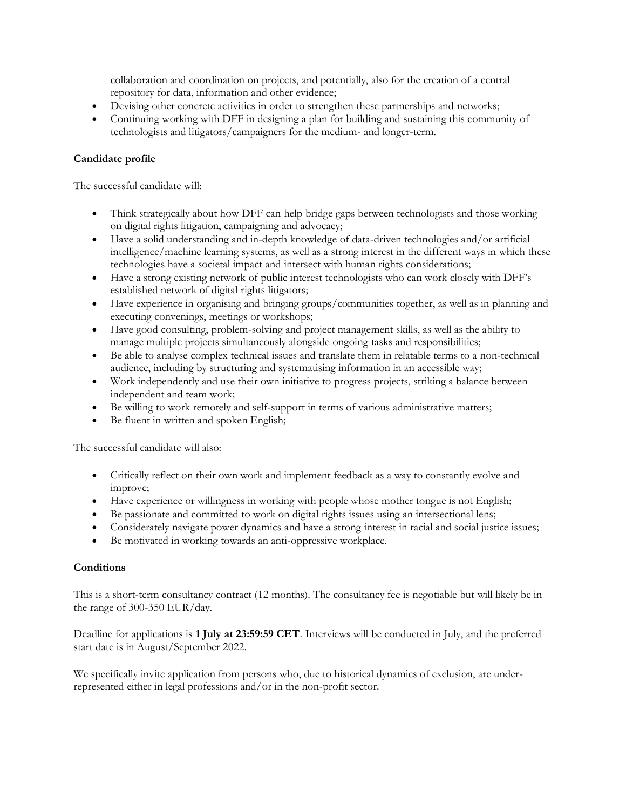collaboration and coordination on projects, and potentially, also for the creation of a central repository for data, information and other evidence;

- Devising other concrete activities in order to strengthen these partnerships and networks;
- Continuing working with DFF in designing a plan for building and sustaining this community of technologists and litigators/campaigners for the medium- and longer-term.

## **Candidate profile**

The successful candidate will:

- Think strategically about how DFF can help bridge gaps between technologists and those working on digital rights litigation, campaigning and advocacy;
- Have a solid understanding and in-depth knowledge of data-driven technologies and/or artificial intelligence/machine learning systems, as well as a strong interest in the different ways in which these technologies have a societal impact and intersect with human rights considerations;
- Have a strong existing network of public interest technologists who can work closely with DFF's established network of digital rights litigators;
- Have experience in organising and bringing groups/communities together, as well as in planning and executing convenings, meetings or workshops;
- Have good consulting, problem-solving and project management skills, as well as the ability to manage multiple projects simultaneously alongside ongoing tasks and responsibilities;
- Be able to analyse complex technical issues and translate them in relatable terms to a non-technical audience, including by structuring and systematising information in an accessible way;
- Work independently and use their own initiative to progress projects, striking a balance between independent and team work;
- Be willing to work remotely and self-support in terms of various administrative matters;
- Be fluent in written and spoken English;

The successful candidate will also:

- Critically reflect on their own work and implement feedback as a way to constantly evolve and improve;
- Have experience or willingness in working with people whose mother tongue is not English;
- Be passionate and committed to work on digital rights issues using an intersectional lens;
- Considerately navigate power dynamics and have a strong interest in racial and social justice issues;
- Be motivated in working towards an anti-oppressive workplace.

### **Conditions**

This is a short-term consultancy contract (12 months). The consultancy fee is negotiable but will likely be in the range of 300-350 EUR/day.

Deadline for applications is **1 July at 23:59:59 CET**. Interviews will be conducted in July, and the preferred start date is in August/September 2022.

We specifically invite application from persons who, due to historical dynamics of exclusion, are underrepresented either in legal professions and/or in the non-profit sector.